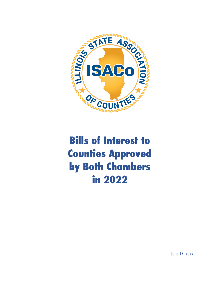

# **Bills of Interest to Counties Approved by Both Chambers in 2022**

June 17, 2022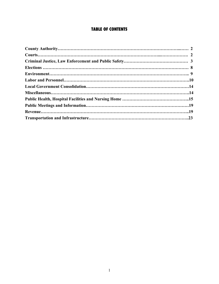## **TABLE OF CONTENTS**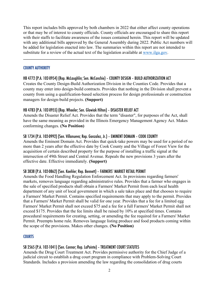This report includes bills approved by both chambers in 2022 that either affect county operations or that may be of interest to county officials. County officials are encouraged to share this report with their staffs to facilitate awareness of the issues contained herein. This report will be updated with any additional bills approved by the General Assembly during 2022. Public Act numbers will be added for legislation enacted into law. The summaries within this report are not intended to substitute for a review of the actual text of the legislation available at www.ilga.gov.

 $\mathcal{L}_\mathcal{L} = \{ \mathcal{L}_\mathcal{L} = \{ \mathcal{L}_\mathcal{L} = \{ \mathcal{L}_\mathcal{L} = \{ \mathcal{L}_\mathcal{L} = \{ \mathcal{L}_\mathcal{L} = \{ \mathcal{L}_\mathcal{L} = \{ \mathcal{L}_\mathcal{L} = \{ \mathcal{L}_\mathcal{L} = \{ \mathcal{L}_\mathcal{L} = \{ \mathcal{L}_\mathcal{L} = \{ \mathcal{L}_\mathcal{L} = \{ \mathcal{L}_\mathcal{L} = \{ \mathcal{L}_\mathcal{L} = \{ \mathcal{L}_\mathcal{$ 

#### COUNTY AUTHORITY

## HB 4772 (P.A. 102-0954) (Rep. McLaughlin; Sen. McConchie) – COUNTY DESIGN – BUILD AUTHORIZATION ACT

Creates the County Design-Build Authorization Division in the Counties Code. Provides that a county may enter into design-build contracts. Provides that nothing in the Division shall prevent a county from using a qualification-based selection process for design professionals or construction managers for design-build projects. **(Support)**

## HB 4783 (P.A. 102-0955) (Rep. Wheeler; Sen. Glowiak Hilton) – DISASTER RELIEF ACT

Amends the Disaster Relief Act. Provides that the term "disaster", for purposes of the Act, shall have the same meaning as provided in the Illinois Emergency Management Agency Act. Makes conforming changes. **(No Position)**

#### SB 1734 (P.A. 102-0992) (Sen. Villanueva; Rep. Gonzalez, Jr.) – EMINENT DOMAIN – COOK COUNTY

Amends the Eminent Domain Act. Provides that quick-take powers may be used for a period of no more than 2 years after the effective date by Cook County and the Village of Forest View for the acquisition of certain described property for the purpose of installing a traffic signal at the intersection of 49th Street and Central Avenue. Repeals the new provisions 3 years after the effective date. Effective immediately. **(Support)**

#### SB 3838 (P.A. 102-0862) (Sen. Koehler; Rep. Bennett) – FARMERS' MARKET RETAIL PERMIT

Amends the Food Handling Regulation Enforcement Act. In provisions regarding farmers' markets, removes language regarding administrative rules. Provides that a farmer who engages in the sale of specified products shall obtain a Farmers' Market Permit from each local health department of any unit of local government in which a sale takes place and that chooses to require a Farmers' Market Permit. Contains specified requirements that may apply to the permit. Provides that a Farmers' Market Permit shall be valid for one year. Provides that a fee for a limited egg Farmers' Market Permit shall not exceed \$75 and a fee for a full Farmers' Market Permit shall not exceed \$175. Provides that the fee limits shall be raised by 10% at specified times. Contains procedural requirements for creating, setting, or amending the fee required for a Farmers' Market Permit. Preempts home rule. Removes language listing produce and food products coming within the scope of the provisions. Makes other changes. **(No Position)**

#### **COURTS**

## SB 2565 (P.A. 102-1041) (Sen. Connor; Rep. LaPointe) – TREATMENT COURT STATUTES

Amends the Drug Court Treatment Act. Provides permissive authority for the Chief Judge of a judicial circuit to establish a drug court program in compliance with Problem-Solving Court Standards. Includes a provision amending the law regarding the consolidation of drug courts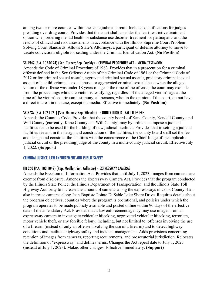among two or more counties within the same judicial circuit. Includes qualifications for judges presiding over drug courts. Provides that the court shall consider the least restrictive treatment option when ordering mental health or substance use disorder treatment for participants and the results of clinical and risk assessments in accordance with the Illinois Supreme Court Problem-Solving Court Standards. Allows State's Attorneys, a participant or defense attorney to move to vacate convictions eligible for sealing under the Criminal Identification Act. **(No Position)**

#### SB 2942 (P.A. 102-0994) (Sen. Turner; Rep. Cassidy) – CRIMINAL PROCEDURE ACT – VICTIM TESTIMONY

Amends the Code of Criminal Procedure of 1963. Provides that in a prosecution for a criminal offense defined in the Sex Offense Article of the Criminal Code of 1961 or the Criminal Code of 2012 or for criminal sexual assault, aggravated criminal sexual assault, predatory criminal sexual assault of a child, criminal sexual abuse, or aggravated criminal sexual abuse when the alleged victim of the offense was under 18 years of age at the time of the offense, the court may exclude from the proceedings while the victim is testifying, regardless of the alleged victim's age at the time of the victim's courtroom testimony, all persons, who, in the opinion of the court, do not have a direct interest in the case, except the media. Effective immediately. **(No Position)**

#### SB 3737 (P.A. 102-1021) (Sen. Holmes; Rep. Wheeler) – COUNTY JUDICIAL FACILITIES FEE

Amends the Counties Code. Provides that the county boards of Kane County, Kendall County, and Will County (currently, Kane County and Will County) may by ordinance impose a judicial facilities fee to be used for the building of new judicial facilities. Provides that in setting a judicial facilities fee and in the design and construction of the facilities, the county board shall set the fee and design and construct the facilities with the concurrence of the Chief Judge of the applicable judicial circuit or the presiding judge of the county in a multi-county judicial circuit. Effective July 1, 2022. **(Support)**

#### CRIMINAL JUSTICE, LAW ENFORCEMENT AND PUBLIC SAFETY

#### HB 260 (P.A. 102-1042) (Rep. Moeller; Sen. Gillespie) – EXPRESSWAY CAMERAS

Amends the Freedom of Information Act. Provides that until July 1, 2023, images from cameras are exempt from disclosure. Amends the Expressway Camera Act. Provides that the program conducted by the Illinois State Police, the Illinois Department of Transportation, and the Illinois State Toll Highway Authority to increase the amount of cameras along the expressways in Cook County shall also increase cameras along Jean-Baptiste Pointe DuSable Lake Shore Drive. Requires details about the program objectives, counties where the program is operational, and policies under which the program operates to be made publicly available and posted online within 90 days of the effective date of the amendatory Act. Provides that a law enforcement agency may use images from an expressway camera to investigate vehicular hijacking, aggravated vehicular hijacking, terrorism, motor vehicle theft, or any forcible felony, including, but not limited to, offenses involving the use of a firearm (instead of only an offense involving the use of a firearm) and to detect highway conditions and facilitate highway safety and incident management. Adds provisions concerning retention of images from cameras, reporting requirements, and prosecutorial jurisdiction. Relocates the definition of "expressway" and defines terms. Changes the Act repeal date to July 1, 2025 (instead of July 1, 2023). Makes other changes. Effective immediately. **(Support)**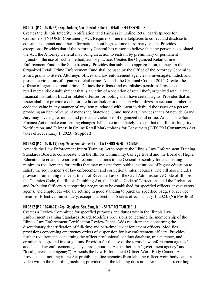#### HB 1091 (P.A. 102-0757) (Rep. Buckner; Sen. Glowiak Hilton) – RETAIL THEFT PREVENTION

Creates the Illinois Integrity, Notification, and Fairness in Online Retail Marketplaces for Consumers (INFORM Consumers) Act. Requires online marketplaces to collect and disclose to consumers contact and other information about high-volume third-party sellers. Provides exceptions. Provides that if the Attorney General has reason to believe that any person has violated the Act, the Attorney General may bring an action to restrain by preliminary or permanent injunction the use of such a method, act, or practice. Creates the Organized Retail Crime Enforcement Fund in the State treasury. Provides that subject to appropriation, moneys in the Organized Retail Crime Enforcement Fund shall be used by the Office of the Attorney General to award grants to State's Attorneys' offices and law enforcement agencies to investigate, indict, and prosecute violations of organized retail crime. Amends the Criminal Code of 2012. Creates the offense of organized retail crime. Defines the offense and establishes penalties. Provides that a retail mercantile establishment that is a victim of a violation of retail theft, organized retail crime, financial institution fraud or related offenses, or looting shall have certain rights. Provides that an issuer shall not provide a debit or credit cardholder or a person who utilizes an account number or code the value in any manner of any item purchased with intent to defraud the issuer or a person providing an item of value. Amends the Statewide Grand Jury Act. Provides that a Statewide Grand Jury may investigate, indict, and prosecute violations of organized retail crime. Amends the State Finance Act to make conforming changes. Effective immediately, except that the Illinois Integrity, Notification, and Fairness in Online Retail Marketplaces for Consumers (INFORM Consumers) Act takes effect January 1, 2023. **(Support)**

#### HB 1568 (P.A. 102-0719) (Rep. Vella; Sen. Martwick) – LAW ENFORCEMENT TRAINING

Amends the Law Enforcement Intern Training Act to require the Illinois Law Enforcement Training Standards Board to collaborate with the Illinois Community College Board and the Board of Higher Education to create a report with recommendations to the General Assembly for establishing minimum requirements for credits that may transfer from public institutions of higher education to satisfy the requirements of law enforcement and correctional intern courses. The bill also includes provisions amending the Department of Revenue Law of the Civil Administrative Code of Illinois, the Counties Code, the Illinois Gambling Act, the Unified Code of Corrections, and the Probation and Probation Officers Act requiring programs to be established for specified officers, investigators, agents, and employees who are retiring in good standing to purchase specified badges or service firearms. Effective immediately, except that Section 15 takes effect January 1, 2023. **(No Position)**

#### HB 3512 (P.A. 102-0694) (Rep. Slaughter; Sen. Sims, Jr.) – SAFE-T ACT TRAILER BILL

Creates a Review Committee for specified purposes and duties within the Illinois Law Enforcement Training Standards Board. Modifies provisions concerning the membership of the Illinois Law Enforcement Certification Review Panel. Adds requirements concerning the discretionary decertification of full-time and part-time law enforcement officers. Modifies provisions concerning emergency orders of suspension for law enforcement officers. Provides further requirements concerning the officer professional conduct database, transparency, and criminal background investigations. Provides for the use of the terms "law enforcement agency" and "local law enforcement agency" throughout the Act (rather than "government agency" and "local government agency"). Amends the Law Enforcement Officer-Worn Body Camera Act. Provides that nothing in the Act prohibits police agencies from labeling officer-worn body camera video within the recording medium; provided that the labeling does not alter the actual recording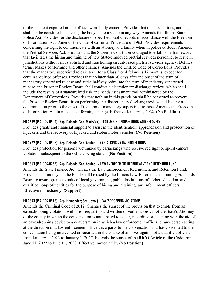of the incident captured on the officer-worn body camera. Provides that the labels, titles, and tags shall not be construed as altering the body camera video in any way. Amends the Illinois State Police Act. Provides for the disclosure of specified public records in accordance with the Freedom of Information Act. Amends the Code of Criminal Procedure of 1963. Provides requirements concerning the right to communicate with an attorney and family when in police custody. Amends the Pretrial Services Act. Provides that the Supreme Court is encouraged to establish a framework that facilitates the hiring and training of new State-employed pretrial services personnel to serve in jurisdictions without an established and functioning circuit-based pretrial services agency. Defines terms. Makes conforming and other changes. Amends the Unified Code of Corrections. Provides that the mandatory supervised release term for a Class 3 or 4 felony is 12 months, except for certain specified offenses. Provides that no later than 30 days after the onset of the term of mandatory supervised release and at the halfway point into the term of mandatory supervised release, the Prisoner Review Board shall conduct a discretionary discharge review, which shall include the results of a standardized risk and needs assessment tool administered by the Department of Corrections. Provides that nothing in this provision shall be construed to prevent the Prisoner Review Board from performing the discretionary discharge review and issuing a determination prior to the onset of the term of mandatory supervised release. Amends the Freedom of Information Act to make a conforming change. Effective January 1, 2022. **(No Position)**

## HB 3699 (P.A. 102-0904) (Rep. Delgado; Sen. Martwick) – CARJACKING PROSECUTION AND RECOVERY

Provides grants and financial support to assist in the identification, apprehension and prosecution of hijackers and the recovery of hijacked and stolen motor vehicles. **(No Position)**

#### HB 3772 (P.A. 102-0905) (Rep. Delgado; Sen. Aquino) – CARJACKING VICTIM PROTECTIONS

Provides protection for persons victimized by carjackings who receive red light or speed camera violations subsequent to the vehicle being stolen. **(No Position)**

#### HB 3863 (P.A. 102-0755) (Rep. Delgado; Sen. Aquino) – LAW ENFORCEMENT RECRUITMENT AND RETENTION FUND

Amends the State Finance Act. Creates the Law Enforcement Recruitment and Retention Fund. Provides that moneys in the Fund shall be used by the Illinois Law Enforcement Training Standards Board to award grants to units of local government, public institutions of higher education, and qualified nonprofit entities for the purpose of hiring and retaining law enforcement officers. Effective immediately. **(Support)**

#### HB 3893 (P.A. 102-0918) (Rep. Hernandez; Sen. Joyce) – EAVESDROPPING VIOLATIONS

Amends the Criminal Code of 2012. Changes the sunset of the provision that exempts from an eavesdropping violation, with prior request to and written or verbal approval of the State's Attorney of the county in which the conversation is anticipated to occur, recording or listening with the aid of an eavesdropping device to a conversation in which a law enforcement officer, or any person acting at the direction of a law enforcement officer, is a party to the conversation and has consented to the conversation being intercepted or recorded in the course of an investigation of a qualified offense from January 1, 2023 to January 1, 2027. Extends the sunset of the RICO Article of the Code from June 11, 2022 to June 11, 2023. Effective immediately. **(No Position)**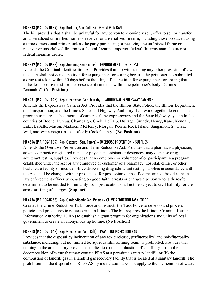## HB 4383 (P.A. 102-0889) (Rep. Buckner; Sen. Collins) – GHOST GUN BAN

The bill provides that it shall be unlawful for any person to knowingly sell, offer to sell or transfer an unserialized unfinished frame or receiver or unserialized firearm, including those produced using a three-dimensional printer, unless the party purchasing or receiving the unfinished frame or receiver or unserialized firearm is a federal firearms importer, federal firearms manufacturer or federal firearms dealer.

## HB 4392 (P.A. 102-0933) (Rep. Ammons; Sen. Collins) – EXPUNGEMENT – DRUG TEST

Amends the Criminal Identification Act. Provides that, notwithstanding any other provision of law, the court shall not deny a petition for expungement or sealing because the petitioner has submitted a drug test taken within 30 days before the filing of the petition for expungement or sealing that indicates a positive test for the presence of cannabis within the petitioner's body. Defines "cannabis". **(No Position)**

## HB 4481 (P.A. 102-1043) (Rep. Greenwood; Sen. Murphy) – ADDITIONAL EXPRESSWAY CAMERAS

Amends the Expressway Camera Act. Provides that the Illinois State Police, the Illinois Department of Transportation, and the Illinois State Toll Highway Authority shall work together to conduct a program to increase the amount of cameras along expressways and the State highway system in the counties of Boone, Bureau, Champaign, Cook, DeKalb, DuPage, Grundy, Henry, Kane, Kendall, Lake, LaSalle, Macon, Madison, McHenry, Morgan, Peoria, Rock Island, Sangamon, St. Clair, Will, and Winnebago (instead of only Cook County). **(No Position)**

## HB 4556 (P.A. 102-1039) (Rep. Guzzardi; Sen. Peters) – OVERDOSE PREVENTION – SUPPLIES

Amends the Overdose Prevention and Harm Reduction Act. Provides that a pharmacist, physician, advanced practice registered nurse, or physician assistant or designees, may dispense drug adulterant testing supplies. Provides that no employee or volunteer of or participant in a program established under the Act or any employee or customer of a pharmacy, hospital, clinic, or other health care facility or medical office dispensing drug adulterant testing supplies in accordance with the Act shall be charged with or prosecuted for possession of specified materials. Provides that a law enforcement officer who, acting on good faith, arrests or charges a person who is thereafter determined to be entitled to immunity from prosecution shall not be subject to civil liability for the arrest or filing of charges. **(Support)**

#### HB 4736 (P.A. 102-0756) (Rep. Gordon-Booth; Sen. Peters) – CRIME REDUCTION TASK FORCE

Creates the Crime Reduction Task Force and instructs the Task Force to develop and process policies and procedures to reduce crime in Illinois. The bill requires the Illinois Criminal Justice Information Authority (ICJIA) to establish a grant program for organizations and units of local government to create an anonymous tip hotline. **(No Position)**

## HB 4818 (P.A. 102-1048) (Rep. Greenwood; Sen. Belt) – PFAS – INCINCERATION BAN

Provides that the disposal by incineration of any toxic release, perfluoroalkyl and polyfluoroalkyl substance, including, but not limited to, aqueous film forming foam, is prohibited. Provides that nothing in the amendatory provisions applies to (i) the combustion of landfill gas from the decomposition of waste that may contain PFAS at a permitted sanitary landfill or (ii) the combustion of landfill gas in a landfill gas recovery facility that is located at a sanitary landfill. The prohibition on the disposal of TRI-PFAS by incineration does not apply to the incineration of waste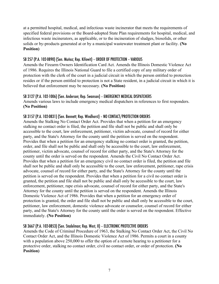at a permitted hospital, medical, and infectious waste incinerator that meets the requirements of specified federal provisions or the Board-adopted State Plan requirements for hospital, medical, and infectious waste incinerators, as applicable, or to the incineration of sludges, biosolids, or other solids or by-products generated at or by a municipal wastewater treatment plant or facility. **(No Position)**

## SB 257 (P.A. 102-0890) (Sen. Muñoz; Rep. Kifowit) – ORDER OF PROTECTION – VARIOUS

Amends the Firearm Owners Identification Card Act. Amends the Illinois Domestic Violence Act of 1986. Requires the Illinois National Guard to file a certified copy of any military order of protection with the clerk of the court in a judicial circuit in which the person entitled to protection resides or if the person entitled to protection is not a State resident, in a judicial circuit in which it is believed that enforcement may be necessary. **(No Position)**

# SB 3127 (P.A. 102-1006) (Sen. Anderson; Rep. Swanson) – EMERGENCY MEDICAL DISPATCHERS

Amends various laws to include emergency medical dispatchers in references to first responders. **(No Position)**

# SB 3157 (P.A. 102-0831) (Sen. Bennett; Rep. Windhorst) – NO CONTACT/PROTECTION ORDERS

Amends the Stalking No Contact Order Act. Provides that when a petition for an emergency stalking no contact order is filed, the petition and file shall not be public and shall only be accessible to the court, law enforcement, petitioner, victim advocate, counsel of record for either party, and the State's Attorney for the county until the petition is served on the respondent. Provides that when a petition for an emergency stalking no contact order is granted, the petition, order, and file shall not be public and shall only be accessible to the court, law enforcement, petitioner, victim advocate, counsel of record for either party, and the State's Attorney for the county until the order is served on the respondent. Amends the Civil No Contact Order Act. Provides that when a petition for an emergency civil no contact order is filed, the petition and file shall not be public and shall only be accessible to the court, law enforcement, petitioner, rape crisis advocate, counsel of record for either party, and the State's Attorney for the county until the petition is served on the respondent. Provides that when a petition for a civil no contact order is granted, the petition and file shall not be public and shall only be accessible to the court, law enforcement, petitioner, rape crisis advocate, counsel of record for either party, and the State's Attorney for the county until the petition is served on the respondent. Amends the Illinois Domestic Violence Act of 1986. Provides that when a petition for an emergency order of protection is granted, the order and file shall not be public and shall only be accessible to the court, petitioner, law enforcement, domestic violence advocate or counselor, counsel of record for either party, and the State's Attorney for the county until the order is served on the respondent. Effective immediately. **(No Position)**

# SB 3667 (P.A. 102-0853) (Sen. Stadelman; Rep. West, II) – ELECTRONIC PROTECTIVE ORDERS

Amends the Code of Criminal Procedure of 1963, the Stalking No Contact Order Act, the Civil No Contact Order Act, and the Illinois Domestic Violence Act of 1986. Permits a court in a county with a population above 250,000 to offer the option of a remote hearing to a petitioner for a protective order, stalking no contact order, civil no contact order, or order of protection. **(No Position)**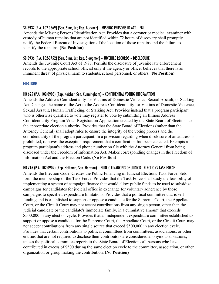## SB 3932 (P.A. 102-0869) (Sen. Sims, Jr.; Rep. Buckner) – MISSING PERSONS ID ACT – FBI

Amends the Missing Persons Identification Act. Provides that a coroner or medical examiner with custody of human remains that are not identified within 72 hours of discovery shall promptly notify the Federal Bureau of Investigation of the location of those remains and the failure to identify the remains. **(No Position)**

#### SB 3936 (P.A. 102-0752) (Sen. Sims, Jr.; Rep. Slaughter) – JUVENILE RECORDS – DISCLOSURE

Amends the Juvenile Court Act of 1987. Permits the disclosure of juvenile law enforcement records to the appropriate school official only if the agency or officer believes that there is an imminent threat of physical harm to students, school personnel, or others. **(No Position)**

#### **ELECTIONS**

#### HB 625 (P.A. 102-0908) (Rep. Keicher; Sen. Cunningham) – CONFIDENTIAL VOTING INFORMATION

Amends the Address Confidentiality for Victims of Domestic Violence, Sexual Assault, or Stalking Act. Changes the name of the Act to the Address Confidentiality for Victims of Domestic Violence, Sexual Assault, Human Trafficking, or Stalking Act. Provides instead that a program participant who is otherwise qualified to vote may register to vote by submitting an Illinois Address Confidentiality Program Voter Registration Application created by the State Board of Elections to the appropriate election authority. Provides that the State Board of Elections (rather than the Attorney General) shall adopt rules to ensure the integrity of the voting process and the confidentiality of the program participant. In a provision regarding when disclosure of an address is prohibited, removes the exception requirement that a certification has been canceled. Exempts a program participant's address and phone number on file with the Attorney General from being disclosed under the Freedom of Information Act. Makes corresponding changes in the Freedom of Information Act and the Election Code. **(No Position)**

#### HB 716 (P.A. 102-0909) (Rep. Hoffman; Sen. Harmon) – PUBLIC FINANCING OF JUDICIAL ELECTIONS TASK FORCE

Amends the Election Code. Creates the Public Financing of Judicial Elections Task Force. Sets forth the membership of the Task Force. Provides that the Task Force shall study the feasibility of implementing a system of campaign finance that would allow public funds to be used to subsidize campaigns for candidates for judicial office in exchange for voluntary adherence by those campaigns to specified expenditure limitations. Provides that a political committee that is selffunding and is established to support or oppose a candidate for the Supreme Court, the Appellate Court, or the Circuit Court may not accept contributions from any single person, other than the judicial candidate or the candidate's immediate family, in a cumulative amount that exceeds \$500,000 in any election cycle. Provides that an independent expenditure committee established to support or oppose a candidate for the Supreme Court, the Appellate Court, or the Circuit Court may not accept contributions from any single source that exceed \$500,000 in any election cycle. Provides that certain contributions to political committees from committees, associations, or other entities that are not required to disclose their contributors are considered anonymous donations, unless the political committee reports to the State Board of Elections all persons who have contributed in excess of \$500 during the same election cycle to the committee, association, or other organization or group making the contribution. **(No Position)**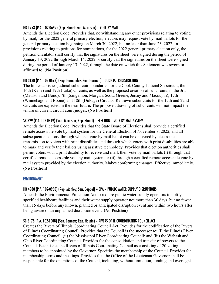## HB 1953 (P.A. 102-0692) (Rep. Stuart; Sen. Morrison) – VOTE BY MAIL

Amends the Election Code. Provides that, notwithstanding any other provisions relating to voting by mail, for the 2022 general primary election, electors may request vote by mail ballots for the general primary election beginning on March 30, 2022, but no later than June 23, 2022. In provisions relating to petitions for nominations, for the 2022 general primary election only, the petition circulator shall certify that the signatures on the sheet were signed during the period of January 13, 2022 through March 14, 2022 or certify that the signatures on the sheet were signed during the period of January 13, 2022, through the date on which this Statement was sworn or affirmed to. **(No Position)**

## HB 3138 (P.A. 102-0693) (Rep. Hernandez; Sen. Harmon) – JUDICIAL REDISTRICTING

The bill establishes judicial subcircuit boundaries for the Cook County Judicial Subcircuit, the 16th (Kane) and 19th (Lake) Circuits, as well as the proposed creation of subcircuits in the 3rd (Madison and Bond), 7th (Sangamon, Morgan, Scott, Greene, Jersey and Macoupin), 17th (Winnebago and Boone) and 18th (DuPage) Circuits. Redrawn subcircuits for the 12th and 22nd Circuits are expected in the near future. The proposed drawing of subcircuits will not impact the tenure of current circuit court judges. **(No Position)**

## SB 829 (P.A. 102-0819) (Sen. Morrison; Rep. Stuart) – ELECTION – VOTE BY MAIL SYSTEM

Amends the Election Code. Provides that the State Board of Elections shall provide a certified remote accessible vote by mail system for the General Election of November 8, 2022, and all subsequent elections, through which a vote by mail ballot can be delivered by electronic transmission to voters with print disabilities and through which voters with print disabilities are able to mark and verify their ballots using assistive technology. Provides that election authorities shall permit voters with a print disability to receive and mark their vote by mail ballots (i) through that certified remote accessible vote by mail system or (ii) through a certified remote accessible vote by mail system provided by the election authority. Makes conforming changes. Effective immediately. **(No Position)**

#### ENVIRONMENT

## HB 4988 (P.A. 102-0960) (Rep. Manley; Sen. Cappel) – EPA – PUBLIC WATER SUPPLY DISRUPTIONS

Amends the Environmental Protection Act to require public water supply operators to notify specified healthcare facilities and their water supply operator not more than 30 days, but no fewer than 15 days before any known, planned or anticipated disruption event and within two hours after being aware of an unplanned disruption event. **(No Position)**

#### SB 3178 (P.A. 102-1008) (Sen. Bennett; Rep. Halpin) – RIVERS OF IL COORDINATING COUNCIL ACT

Creates the Rivers of Illinois Coordinating Council Act. Provides for the codification of the Rivers of Illinois Coordinating Council. Provides that the Council is the successor to: (i) the Illinois River Coordinating Council; (ii) the Mississippi River Coordinating Council; and (iii) the Wabash and Ohio River Coordinating Council. Provides for the consolidation and transfer of powers to the Council. Establishes the Rivers of Illinois Coordinating Council as consisting of 20 voting members to be appointed by the Governor. Specifies the membership of the Council. Provides for membership terms and meetings. Provides that the Office of the Lieutenant Governor shall be responsible for the operations of the Council, including, without limitation, funding and oversight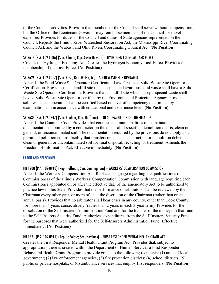of the Council's activities. Provides that members of the Council shall serve without compensation, but the Office of the Lieutenant Governor may reimburse members of the Council for travel expenses. Provides for duties of the Council and duties of State agencies represented on the Council. Repeals the Illinois River Watershed Restoration Act, the Mississippi River Coordinating Council Act, and the Wabash and Ohio Rivers Coordinating Council Act. **(No Position)**

## SB 3613 (P.A. 102-1086) (Sen. Ellman; Rep. Costa Howard) – HYDROGEN ECONOMY TASK FORCE

Creates the Hydrogen Economy Act. Creates the Hydrogen Economy Task Force. Provides for membership of the Task Force. **(No Position)**

## SB 3626 (P.A. 102-1017) (Sen. Bush; Rep. Walsh, Jr.) – SOLID WASTE SITE OPERATOR

Amends the Solid Waste Site Operator Certification Law. Creates a Solid Waste Site Operator Certification. Provides that a landfill site that accepts non-hazardous solid waste shall have a Solid Waste Site Operator Certification. Provides that a landfill site which accepts special waste shall have a Solid Waste Site Operator certified by the Environmental Protection Agency. Provides that solid waste site operators shall be certified based on level of competency determined by examination and in accordance with educational and experience level. **(No Position)**

## SB 3633 (P.A. 102-0847) (Sen. Koehler; Rep. Hoffman) – LOCAL DEMOLITION DOCUMENTATION

Amends the Counties Code. Provides that counties and municipalities must maintain documentation submitted by a contractor on the disposal of specified demolition debris, clean or general, or uncontaminated soil. The documentation required by the provisions do not apply to a permitted pollution control facility that transfers or accepts construction or demolition debris, clean or general, or uncontaminated soil for final disposal, recycling, or treatment. Amends the Freedom of Information Act. Effective immediately. **(No Position)**

#### LABOR AND PERSONNEL

## HB 1208 (P.A. 102-0910) (Rep. Hoffman; Sen. Cunningham) – WORKERS' COMPENSATION COMMISSION

Amends the Workers' Compensation Act. Replaces language regarding the qualifications of Commissioners of the Illinois Workers' Compensation Commission with language requiring each Commissioner appointed on or after the effective date of the amendatory Act to be authorized to practice law in this State. Provides that the performance of arbitrators shall be reviewed by the Chairman every other year, or more often at the discretion of the Chairman (rather than on an annual basis). Provides that no arbitrator shall hear cases in any county, other than Cook County, for more than 4 years consecutively (rather than 2 years in each 3-year term). Provides for the dissolution of the Self-Insurers Administration Fund and for the transfer of the moneys in that fund to the Self-Insurers Security Fund. Authorizes expenditures from the Self-Insurers Security Fund for the purposes that were authorized for the Self-Insurers Administration Fund. Effective immediately. **(No Position)**

## HB 1321 (P.A. 102-0911) (Rep. LaPointe; Sen. Hastings) – FIRST RESPONDER MENTAL HEALTH GRANT ACT

Creates the First Responder Mental Health Grant Program Act. Provides that, subject to appropriation, there is created within the Department of Human Services a First Responder Behavioral Health Grant Program to provide grants to the following recipients: (1) units of local government; (2) law enforcement agencies; (3) fire protection districts; (4) school districts; (5) public or private hospitals; or (6) ambulance services that employ first responders. **(No Position)**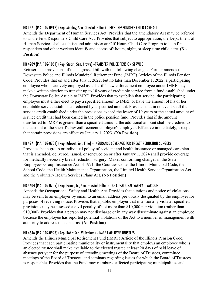## HB 1571 (P.A. 102-0912) (Rep. Manley; Sen. Glowiak Hilton) – FIRST RESPONDERS CHILD CARE ACT

Amends the Department of Human Services Act. Provides that the amendatory Act may be referred to as the First Responders Child Care Act. Provides that subject to appropriation, the Department of Human Services shall establish and administer an Off-Hours Child Care Program to help first responders and other workers identify and access off-hours, night, or sleep time child care. **(No Position)**

## HB 4209 (P.A. 102-1061) (Rep. Stuart; Sen. Crowe) –TRANSFER POLICE PENSION SERVICE

Reinserts the provisions of the engrossed bill with the following changes. Further amends the Downstate Police and Illinois Municipal Retirement Fund (IMRF) Articles of the Illinois Pension Code. Provides that on and after July 1, 2022, but no later than December 1, 2022, a participating employee who is actively employed as a sheriff's law enforcement employee under IMRF may make a written election to transfer up to 10 years of creditable service from a fund established under the Downstate Police Article to IMRF. Provides that to establish that service, the participating employee must either elect to pay a specified amount to IMRF or have the amount of his or her creditable service established reduced by a specified amount. Provides that in no event shall the service credit established under the provisions exceed the lesser of 10 years or the actual amount of service credit that had been earned in the police pension fund. Provides that if the amount transferred to IMRF is greater than a specified amount, the additional amount shall be credited to the account of the sheriff's law enforcement employee's employer. Effective immediately, except that certain provisions are effective January 1, 2023. **(No Position)**

## HB 4271 (P.A. 102-0731) (Rep. Kifowit; Sen. Fine) – INSURANCE COVERAGE FOR BREAST REDUCTION SURGERY

Provides that a group or individual policy of accident and health insurance or managed care plan that is amended, delivered, issued, or renewed on or after January 1, 2024 shall provide coverage for medically necessary breast reduction surgery. Makes conforming changes in the State Employees Group Insurance Act of 1971, the Counties Code, the Illinois Municipal Code, the School Code, the Health Maintenance Organization, the Limited Health Service Organization Act, and the Voluntary Health Services Plans Act. **(No Position)**

# HB 4604 (P.A. 102-0705) (Rep. Evans, Jr.; Sen. Glowiak Hilton) – OCCUPATIONAL SAFETY – VARIOUS

Amends the Occupational Safety and Health Act. Provides that citations and notice of violations may be sent to an employer by email to an email address previously designated by the employer for purposes of receiving notice. Provides that a public employer that intentionally violates specified provisions may be assessed a civil penalty of not more than \$10,000 per violation (rather than \$10,000). Provides that a person may not discharge or in any way discriminate against an employee because the employee has reported potential violations of the Act to a member of management with authority to address the concerns. **(No Position)**

# HB 4646 (P.A. 102-0943) (Rep. Rohr; Sen. Villivalam) – IMRF EMPLOYEE TRUSTEES

Amends the Illinois Municipal Retirement Fund (IMRF) Article of the Illinois Pension Code. Provides that each participating municipality or instrumentality that employs an employee who is an elected trustee shall make available to the elected trustee at least 20 days of paid leave of absence per year for the purpose of attending meetings of the Board of Trustees, committee meetings of the Board of Trustees, and seminars regarding issues for which the Board of Trustees is responsible. Provides that the Fund may reimburse affected participating municipalities and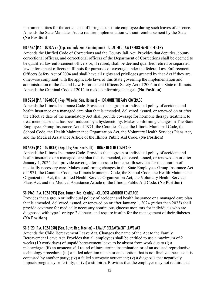instrumentalities for the actual cost of hiring a substitute employee during such leaves of absence. Amends the State Mandates Act to require implementation without reimbursement by the State. **(No Position)**

## HB 4667 (P.A. 102-0779) (Rep. Yednock; Sen. Cunningham) – QUALIFIED LAW ENFORCEMENT OFFICERS

Amends the Unified Code of Corrections and the County Jail Act. Provides that deputies, county correctional officers, and correctional officers of the Department of Corrections shall be deemed to be qualified law enforcement officers or, if retired, shall be deemed qualified retired or separated law enforcement officers in Illinois for purposes of coverage under the federal Law Enforcement Officers Safety Act of 2004 and shall have all rights and privileges granted by that Act if they are otherwise compliant with the applicable laws of this State governing the implementation and administration of the federal Law Enforcement Officers Safety Act of 2004 in the State of Illinois. Amends the Criminal Code of 2012 to make conforming changes. **(No Position)**

# HB 5254 (P.A. 102-0804) (Rep. Wheeler; Sen. Holmes) – HORMONE THERAPY COVERAGE

Amends the Illinois Insurance Code. Provides that a group or individual policy of accident and health insurance or a managed care plan that is amended, delivered, issued, or renewed on or after the effective date of the amendatory Act shall provide coverage for hormone therapy treatment to treat menopause that has been induced by a hysterectomy. Makes conforming changes in The State Employees Group Insurance Act of 1971, the Counties Code, the Illinois Municipal Code, the School Code, the Health Maintenance Organization Act, the Voluntary Health Services Plans Act, and the Medical Assistance Article of the Illinois Public Aid Code. **(No Position)**

## HB 5585 (P.A. 102-0816) (Rep. Lily; Sen. Harris, III) – HOME HEALTH COVERAGE

Amends the Illinois Insurance Code. Provides that a group or individual policy of accident and health insurance or a managed care plan that is amended, delivered, issued, or renewed on or after January 1, 2024 shall provide coverage for access to home health services for the duration of medically necessary care. Makes conforming changes in the State Employees Group Insurance Act of 1971, the Counties Code, the Illinois Municipal Code, the School Code, the Health Maintenance Organization Act, the Limited Health Service Organization Act, the Voluntary Health Services Plans Act, and the Medical Assistance Article of the Illinois Public Aid Code. **(No Position)**

## SB 2969 (P.A. 102-1093) (Sen. Turner; Rep. Cassidy) –GLUCOSE MONITOR COVERAGE

Provides that a group or individual policy of accident and health insurance or a managed care plan that is amended, delivered, issued, or renewed on or after January 1, 2024 (rather than 2023) shall provide coverage for medically necessary continuous glucose monitors for individuals who are diagnosed with type 1 or type 2 diabetes and require insulin for the management of their diabetes. **(No Position)**

## SB 3120 (P.A. 102-1050) (Sen. Bush; Rep. Moeller) – FAMILY BEREAVEMENT LEAVE ACT

Amends the Child Bereavement Leave Act. Changes the name of the Act to the Family Bereavement Leave Act. Provides that all employees shall be entitled to use a maximum of 2 weeks (10 work days) of unpaid bereavement leave to be absent from work due to (i) a miscarriage; (ii) an unsuccessful round of intrauterine insemination or of an assisted reproductive technology procedure; (iii) a failed adoption match or an adoption that is not finalized because it is contested by another party; (iv) a failed surrogacy agreement; (v) a diagnosis that negatively impacts pregnancy or fertility; or (vi) a stillbirth. Provides that the employer may not require that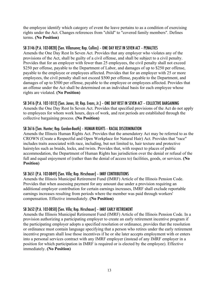the employee identify which category of event the leave pertains to as a condition of exercising rights under the Act. Changes references from "child" to "covered family members". Defines terms. **(No Position)**

#### SB 3146 (P.A. 102-0828) (Sen. Villanueva; Rep. Collins) – ONE DAY REST IN SEVEN ACT – PENALTIES

Amends the One Day Rest In Seven Act. Provides that any employer who violates any of the provisions of the Act, shall be guilty of a civil offense, and shall be subject to a civil penalty. Provides that for an employer with fewer than 25 employees, the civil penalty shall not exceed \$250 per offense, payable to the Department of Labor, and damages of up to \$250 per offense, payable to the employee or employees affected. Provides that for an employer with 25 or more employees, the civil penalty shall not exceed \$500 per offense, payable to the Department, and damages of up to \$500 per offense, payable to the employee or employees affected. Provides that an offense under the Act shall be determined on an individual basis for each employee whose rights are violated. **(No Position)**

## SB 3416 (P.A. 102-1012) (Sen. Jones, III; Rep. Evans, Jr.) – ONE DAY REST IN SEVEN ACT – COLLECTIVE BARGAINING

Amends the One Day Rest In Seven Act. Provides that specified provisions of the Act do not apply to employees for whom work hours, days of work, and rest periods are established through the collective bargaining process. **(No Position)**

## SB 3616 (Sen. Hunter; Rep. Gordon-Booth) – HUMAN RIGHTS – RACIAL DISCRIMINATION

Amends the Illinois Human Rights Act. Provides that the amendatory Act may be referred to as the CROWN (Create a Respectful and Open Workplace for Natural Hair) Act. Provides that "race" includes traits associated with race, including, but not limited to, hair texture and protective hairstyles such as braids, locks, and twists. Provides that, with respect to places of public accommodation, the Department of Human Rights has jurisdiction over the denial or refusal of the full and equal enjoyment of (rather than the denial of access to) facilities, goods, or services. **(No Position)**

## SB 3651 (P.A. 102-0849) (Sen. Villa; Rep. Hirschauer) – IMRF CONTRIBUTIONS

Amends the Illinois Municipal Retirement Fund (IMRF) Article of the Illinois Pension Code. Provides that when assessing payment for any amount due under a provision requiring an additional employer contribution for certain earnings increases, IMRF shall exclude reportable earnings increases resulting from periods where the member was paid through workers' compensation. Effective immediately. **(No Position)**

## SB 3652 (P.A. 102-0850) (Sen. Villa; Rep. Hirschauer) – IMRF EARLY RETIREMENT

Amends the Illinois Municipal Retirement Fund (IMRF) Article of the Illinois Pension Code. In a provision authorizing a participating employer to create an early retirement incentive program if the participating employer adopts a specified resolution or ordinance, provides that the resolution or ordinance must contain language specifying that a person who retires under the early retirement incentive program shall lose those incentives if he or she later accepts employment with or enters into a personal services contract with any IMRF employer (instead of any IMRF employer in a position for which participation in IMRF is required or is elected by the employee). Effective immediately. **(No Position)**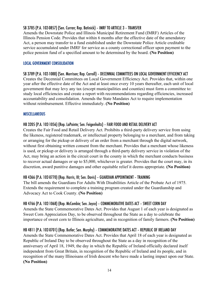## SB 3785 (P.A. 102-0857) (Sen. Curran; Rep. Batinick) – IMRF TO ARTICLE 3 – TRANSFER

Amends the Downstate Police and Illinois Municipal Retirement Fund (IMRF) Articles of the Illinois Pension Code. Provides that within 6 months after the effective date of the amendatory Act, a person may transfer to a fund established under the Downstate Police Article creditable service accumulated under IMRF for service as a county correctional officer upon payment to the police pension fund of a specified amount to be determined by the board. **(No Position)**

#### LOCAL GOVERNMENT CONSOLIDATION

SB 3789 (P.A. 102-1088) (Sen. Morrison; Rep. Carroll) – DECENNIAL COMMITTEES ON LOCAL GOVERNMENT EFFICIENCY ACT Creates the Decennial Committees on Local Government Efficiency Act. Provides that, within one year after the effective date of the Act and at least once every 10 years thereafter, each unit of local government that may levy any tax (except municipalities and counties) must form a committee to: study local efficiencies and create a report with recommendations regarding efficiencies, increased accountability and consolidation. Amends the State Mandates Act to require implementation without reimbursement. Effective immediately. **(No Position)**

#### MISCELLANEOUS

## HB 3205 (P.A. 102-1056) (Rep. LaPointe; Sen. Feigenholtz) – FAIR FOOD AND RETAIL DELIVERY ACT

Creates the Fair Food and Retail Delivery Act. Prohibits a third-party delivery service from using the likeness, registered trademark, or intellectual property belonging to a merchant, and from taking or arranging for the pickup or delivery of an order from a merchant through the digital network, without first obtaining written consent from the merchant. Provides that a merchant whose likeness is used, or pickup or delivery is arranged through a third-party delivery service in violation of the Act, may bring an action in the circuit court in the county in which the merchant conducts business to recover actual damages or up to \$5,000, whichever is greater. Provides that the court may, in its discretion, award punitive damages and other equitable relief it deems appropriate. **(No Position)**

#### HB 4366 (P.A. 102-0770) (Rep. Harris, III; Sen. Davis) – GUARDIAN APPOINTMENT – TRAINING

The bill amends the Guardians For Adults With Disabilities Article of the Probate Act of 1975. Extends the requirement to complete a training program created under the Guardianship and Advocacy Act to Cook County. **(No Position)**

## HB 4766 (P.A. 102-1068) (Rep. McCombie; Sen. Joyce) – COMMEMORATIVE DATES ACT – SWEET CORN DAY

Amends the State Commemorative Dates Act. Provides that August 1 of each year is designated as Sweet Corn Appreciation Day, to be observed throughout the State as a day to celebrate the importance of sweet corn to Illinois agriculture, and in recognition of family farmers. **(No Position)**

## HB 4811 (P.A. 102-0701) (Rep. Butler; Sen. Murphy) – COMMEMORATIVE DATES ACT – REPUBLIC OF IRELAND DAY

Amends the State Commemorative Dates Act. Provides that April 18 of each year is designated as Republic of Ireland Day to be observed throughout the State as a day in recognition of the anniversary of April 18, 1949, the day in which the Republic of Ireland officially declared itself independent from Great Britain, in recognition of the Republic of Ireland and its people, and in recognition of the many Illinoisans of Irish descent who have made a lasting impact upon our State. **(No Position)**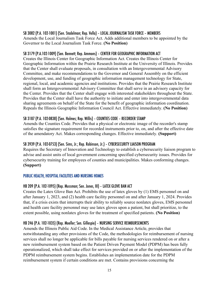## SB 3082 (P.A. 102-1001) (Sen. Stadelman; Rep. Vella) – LOCAL JOURNALISM TASK FORCE – MEMBERS

Amends the Local Journalism Task Force Act. Adds additional members to be appointed by the Governor to the Local Journalism Task Force. **(No Position)**

## SB 3179 (P.A.102-1009) (Sen. Bennett; Rep. Ammons) – CENTER FOR GEOGRAPHIC INFORMATION ACT

Creates the Illinois Center for Geographic Information Act. Creates the Illinois Center for Geographic Information within the Prairie Research Institute at the University of Illinois. Provides that the Center shall evaluate proposals, in consultation with an Intergovernmental Advisory Committee, and make recommendations to the Governor and General Assembly on the efficient development, use, and funding of geographic information management technology for State, regional, local, and academic agencies and institutions. Provides that the Prairie Research Institute shall form an Intergovernmental Advisory Committee that shall serve in an advisory capacity for the Center. Provides that the Center shall engage with interested stakeholders throughout the State. Provides that the Center shall have the authority to initiate and enter into intergovernmental data sharing agreements on behalf of the State for the benefit of geographic information coordination. Repeals the Illinois Geographic Information Council Act. Effective immediately. **(No Position)**

## SB 3187 (P.A. 102-0838) (Sen. Holmes; Rep. Willis) – COUNTIES CODE – RECORDER STAMP

Amends the Counties Code. Provides that a physical or electronic image of the recorder's stamp satisfies the signature requirement for recorded instruments prior to, on, and after the effective date of the amendatory Act. Makes corresponding changes. Effective immediately. **(Support)**

## SB 3939 (P.A. 102-0753) (Sen. Sims, Jr.; Rep. Robinson, Jr.) – CYBERSECURITY LIAISON PROGRAM

Requires the Secretary of Innovation and Technology to establish a cybersecurity liaison program to advise and assist units of local government concerning specified cybersecurity issues. Provides for cybersecurity training for employees of counties and municipalities. Makes conforming changes. **(Support)**

## PUBLIC HEALTH, HOSPITAL FACILITIES AND NURSING HOMES

## HB 209 (P.A. 102-1095) (Rep. Mussman; Sen. Jones, III) – LATEX GLOVE BAN ACT

Creates the Latex Glove Ban Act. Prohibits the use of latex gloves by (1) EMS personnel on and after January 1, 2023, and (2) health care facility personnel on and after January 1, 2024. Provides that, if a crisis exists that interrupts their ability to reliably source nonlatex gloves, EMS personnel and health care facility personnel may use latex gloves upon a patient, but shall prioritize, to the extent possible, using nonlatex gloves for the treatment of specified patients. **(No Position)**

## HB 246 (P.A. 102-1035) (Rep. Moeller; Sen. Gillespie) – NURSING SERVICE REIMBURSEMENTS

Amends the Illinois Public Aid Code. In the Medical Assistance Article, provides that notwithstanding any other provisions of the Code, the methodologies for reimbursement of nursing services shall no longer be applicable for bills payable for nursing services rendered on or after a new reimbursement system based on the Patient Driven Payment Model (PDPM) has been fully operationalized, which shall take effect for services provided on or after the implementation of the PDPM reimbursement system begins. Establishes an implementation date for the PDPM reimbursement system if certain conditions are met. Contains provisions concerning the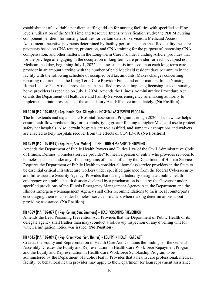establishment of a variable per diem staffing add-on for nursing facilities with specified staffing levels; utilization of the Staff Time and Resource Intensity Verification study; the PDPM nursing component per diem for nursing facilities for certain dates of services; a Medicaid Access Adjustment; incentive payments determined by facility performance on specified quality measures; payments based on CNA tenure, promotion, and CNA training for the purpose of increasing CNA compensation; and other matters. In the Long-Term Care Provider Funding Article, provides that for the privilege of engaging in the occupation of long-term care provider for each occupied non-Medicare bed day, beginning July 1, 2022, an assessment is imposed upon each long-term care provider in an amount varying with the number of paid Medicaid resident days per annum in the facility with the following schedule of occupied bed tax amounts. Makes changes concerning reporting requirements, the Long-Term Care Provider Fund, and other matters. In the Nursing Home License Fee Article, provides that a specified provision imposing licensing fees on nursing home providers is repealed on July 1, 2024. Amends the Illinois Administrative Procedure Act. Grants the Department of Healthcare and Family Services emergency rulemaking authority to implement certain provisions of the amendatory Act. Effective immediately. **(No Position)**

## HB 1950 (P.A. 102-0886) (Rep. Harris; Sen. Gillespie) – HOSPITAL ASSESSMENT PROGRAM

The bill extends and expands the Hospital Assessment Program through 2026. The new law helps ensure cash-flow predictability for hospitals, tying greater funding to higher Medicaid use to protect safety net hospitals. Also, certain hospitals are re-classified, and some tax exemptions and waivers are enacted to help hospitals recover from the effects of COVID-19. **(No Position)**

#### HB 3949 (P.A. 102-0919) (Rep. Ford; Sen. Muñoz) – IDPH – HOMELESS SERVICE PROVIDER

Amends the Department of Public Health Powers and Duties Law of the Civil Administrative Code of Illinois. Defines "homeless service provider" to mean a person or entity who provides services to homeless persons under any of the programs of or identified by the Department of Human Services. Requires the Department of Public Health to consider all homeless service providers in the State to be essential critical infrastructure workers under specified guidance from the federal Cybersecurity and Infrastructure Security Agency. Provides that during a federally-designated public health emergency or a public health disaster declared by a proclamation issued by the Governor under specified provisions of the Illinois Emergency Management Agency Act, the Department and the Illinois Emergency Management Agency shall offer recommendations to their local counterparts encouraging them to consider homeless service providers when making determinations about providing assistance. **(No Position)**

#### HB 4369 (P.A. 102-0771) (Rep. Collins; Sen. Simmons) – LEAD POISONING PREVENTION

Amends the Lead Poisoning Prevention Act. Provides that the Department of Public Health or its delegate agency shall (rather than may) conduct a follow-up inspection of any dwelling unit for which a mitigation notice was issued. **(No Position)**

#### HB 4645 (P.A. 102-0942) (Rep. Greenwood; Sen. Hunter) – EQUITY IN HEALTH CARE ACT

Creates the Equity and Representation in Health Care Act. Contains the findings of the General Assembly. Creates the Equity and Representation in Health Care Workforce Repayment Program and the Equity and Representation in Health Care Workforce Scholarship Program to be administered by the Department of Public Health. Provides that a health care professional, medical facility, or behavioral health provider may apply to the Department for loan repayment assistance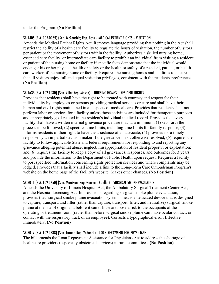under the Program. **(No Position)**

## SB 1405 (P.A. 102-0989) (Sen. McConchie; Rep. Bos) – MEDICAL PATIENT RIGHTS – VISITATION

Amends the Medical Patient Rights Act. Removes language providing that nothing in the Act shall restrict the ability of a health care facility to regulate the hours of visitation, the number of visitors per patient or the movement of visitors within the facility. Authorizes a skilled nursing home, extended care facility, or intermediate care facility to prohibit an individual from visiting a resident or patient of the nursing home or facility if specific facts demonstrate that the individual would endanger his or her physical health or safety or the health or safety of a resident, patient, or health care worker of the nursing home or facility. Requires the nursing homes and facilities to ensure that all visitors enjoy full and equal visitation privileges, consistent with the residents' preferences. **(No Position)**

## SB 1633 (P.A. 102-1080) (Sen. Villa; Rep. Mason) – NURSING HOMES – RESIDENT RIGHTS

Provides that residents shall have the right to be treated with courtesy and respect for their individuality by employees or persons providing medical services or care and shall have their human and civil rights maintained in all aspects of medical care. Provides that residents shall not perform labor or services for a facility unless those activities are included for therapeutic purposes and appropriately goal-related in the resident's individual medical record. Provides that every facility shall have a written internal grievance procedure that, at a minimum: (1) sets forth the process to be followed; (2) specifies time limits, including time limits for facility response; (3) informs residents of their right to have the assistance of an advocate; (4) provides for a timely response by an impartial decision maker if the grievance is not otherwise resolved; (5) requires the facility to follow applicable State and federal requirements for responding to and reporting any grievance alleging potential abuse, neglect, misappropriation of resident property, or exploitation; and (6) requires the facility to keep a copy of all grievances, responses, and outcomes for 3 years and provide the information to the Department of Public Health upon request. Requires a facility to post specified information concerning rights protection services and where complaints may be lodged. Provides that a facility shall include a link to the Long-Term Care Ombudsman Program's website on the home page of the facility's website. Makes other changes. **(No Position)**

## SB 3011 (P.A. 102-0750) (Sen. Morrison; Rep. Guerrero-Cueller) – SURGICAL SMOKE EVACUATION

Amends the University of Illinois Hospital Act, the Ambulatory Surgical Treatment Center Act, and the Hospital Licensing Act. In provisions regarding surgical smoke plume evacuation, provides that "surgical smoke plume evacuation system" means a dedicated device that is designed to capture, transport, and filter (rather than capture, transport, filter, and neutralize) surgical smoke plume at the site of origin and before it can diffuse and pose a risk to the occupants of the operating or treatment room (rather than before surgical smoke plume can make ocular contact, or contact with the respiratory tract, of an employee). Corrects a typographical error. Effective immediately. **(No Position)**

## SB 3017 (P.A. 102-0888) (Sen. Turner; Rep. Yednock) – LOAN REPAYMENT FOR PHYSICIANS

The bill amends the Loan Repayment Assistance for Physicians Act to address the shortage of healthcare providers (especially obstetrical services) in rural committees. **(No Position)**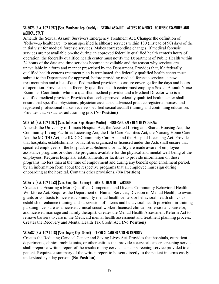## SB 3023 (P.A. 102-1097) (Sen. Morrison; Rep. Cassidy) – SEXUAL ASSAULT – ACCESS TO MEDICAL FORENSIC EXAMINER AND MEDICAL STAFF

Amends the Sexual Assault Survivors Emergency Treatment Act. Changes the definition of "follow-up healthcare" to mean specified healthcare services within 180 (instead of 90) days of the initial visit for medical forensic services. Makes corresponding changes. If medical forensic services are not available on-site during an approved federally qualified health center's hours of operation, the federally qualified health center must notify the Department of Public Health within 24 hours of the date and time services became unavailable and the reason why services are unavailable in a form and manner prescribed by the Department. Provides that, if a federally qualified health center's treatment plan is terminated, the federally qualified health center must submit to the Department for approval, before providing medical forensic services, a new treatment plan and a list of qualified medical providers to ensure coverage for the days and hours of operation. Provides that a federally qualified health center must employ a Sexual Assault Nurse Examiner Coordinator who is a qualified medical provider and a Medical Director who is a qualified medical provider. Provides that each approved federally qualified health center shall ensure that specified physicians, physician assistants, advanced practice registered nurses, and registered professional nurses receive specified sexual assault training and continuing education. Provides that sexual assault training pro. **(No Position)**

#### SB 3166 (P.A. 102-1007) (Sen. Johnson; Rep. Meyers-Martin) – PROFESSIONALS HEALTH PROGRAM

Amends the University of Illinois Hospital Act, the Assisted Living and Shared Housing Act, the Community Living Facilities Licensing Act, the Life Care Facilities Act, the Nursing Home Care Act, the MC/DD Act, the ID/DD Community Care Act, and the Hospital Licensing Act. Provides that hospitals, establishments, or facilities organized or licensed under the Acts shall ensure that specified employees of the hospital, establishment, or facility are made aware of employee assistance programs or other like programs available for the physical and mental well-being of the employees. Requires hospitals, establishments, or facilities to provide information on these programs, no less than at the time of employment and during any benefit open enrollment period, by an information form about the respective programs that an employee must sign during onboarding at the hospital. Contains other provisions. **(No Position)**

## SB 3617 (P.A. 102-1053) (Sen. Fine; Rep. Conroy) – MENTAL HEALTH – VARIOUS

Creates the Ensuring a More Qualified, Competent, and Diverse Community Behavioral Health Workforce Act. Requires the Department of Human Services, Division of Mental Health, to award grants or contracts to licensed community mental health centers or behavioral health clinics to establish or enhance training and supervision of interns and behavioral health providers-in-training pursuing licensure as a licensed clinical social worker, licensed clinical professional counselor, and licensed marriage and family therapist. Creates the Mental Health Assessment Reform Act to remove barriers to care in the Medicaid mental health assessment and treatment planning process. Creates the Recovery and Mental Health Tax Credit Act. **(No Position)**

## SB 3682 (P.A. 102-1018) (Sen. Joyce; Rep. Gabel) – CERVICAL CANCER SCREEN REPORTS

Creates the Reducing Cervical Cancer and Saving Lives Act. Provides that hospitals, outpatient departments, clinics, mobile units, or other entities that provide a cervical cancer screening service shall prepare a written report of the results of any cervical cancer screening service provided to a patient. Requires a summary of the written report to be sent directly to the patient in terms easily understood by a lay person. **(No Position)**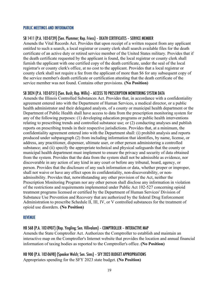#### PUBLIC MEETINGS AND INFORMATION

#### SB 1411 (P.A. 102-0739) (Sen. Plummer; Rep. Friess) – DEATH CERTIFICATES – SERVICE MEMBER

Amends the Vital Records Act. Provides that upon receipt of a written request from any applicant entitled to such a search, a local registrar or county clerk shall search available files for the death certificate of an active duty or retired service member of the United States military. Provides that if the death certificate requested by the applicant is found, the local registrar or county clerk shall furnish the applicant with one certified copy of the death certificate, under the seal of the local registrar's or county clerk's office, at no cost to the applicant. Provides that a local registrar or county clerk shall not require a fee from the applicant of more than \$6 for any subsequent copy of the service member's death certificate or certification attesting that the death certificate of the service member was not found. Contains other provisions. **(No Position)**

#### SB 3024 (P.A. 102-0751) (Sen. Bush; Rep. Willis) – ACCESS TO PRESCRIPTION MONITORING SYSTEM DATA

Amends the Illinois Controlled Substances Act. Provides that, in accordance with a confidentiality agreement entered into with the Department of Human Services, a medical director, or a public health administrator and their delegated analysts, of a county or municipal health department or the Department of Public Health shall have access to data from the prescription monitoring system for any of the following purposes: (1) developing education programs or public health interventions relating to prescribing trends and controlled substance use; or (2) conducting analyses and publish reports on prescribing trends in their respective jurisdictions. Provides that, at a minimum, the confidentiality agreement entered into with the Department shall: (i) prohibit analysis and reports produced under subparagraph (2) from including information that identifies, by name, license, or address, any practitioner, dispenser, ultimate user, or other person administering a controlled substance; and (ii) specify the appropriate technical and physical safeguards that the county or municipal health department must implement to ensure the privacy and security of data obtained from the system. Provides that the data from the system shall not be admissible as evidence, nor discoverable in any action of any kind in any court or before any tribunal, board, agency, or person. Provides that the disclosure of any such information or data, whether proper or improper, shall not waive or have any effect upon its confidentiality, non-discoverability, or nonadmissibility. Provides that, notwithstanding any other provision of the Act, neither the Prescription Monitoring Program nor any other person shall disclose any information in violation of the restrictions and requirements implemented under Public Act 102-527 concerning opioid treatment programs licensed or certified by the Department of Human Services' Division of Substance Use Prevention and Recovery that are authorized by the federal Drug Enforcement Administration to prescribe Schedule II, III, IV, or V controlled substances for the treatment of opioid use disorders. **(No Position)**

#### REVENUE

#### HB 568 (P.A. 102-0907) (Rep. Yingling; Sen. Villivalam) – COMPTROLLER – INTERACTIVE MAP

Amends the State Comptroller Act. Authorizes the Comptroller to establish and maintain an interactive map on the Comptroller's Internet website that provides the location and annual financial information of taxing bodies as reported to the Comptroller's office. **(No Position)**

# HB 900 (P.A. 102-0698) (Speaker Welch; Sen. Sims) – SFY 2023 BUDGET APPROPRIATIONS

Appropriates spending for the SFY 2023 state budget. **(No Position)**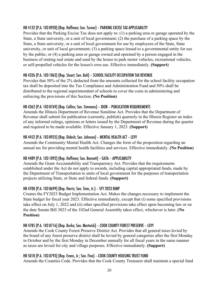# HB 4132 (P.A. 102-0920) (Rep. Hoffman; Sen. Turner) – PARKING EXCISE TAX APPLICABILITY

Provides that the Parking Excise Tax does not apply to: (1) a parking area or garage operated by the State, a State university, or a unit of local government; (2) the purchase of a parking space by the State, a State university, or a unit of local government for use by employees of the State, State university, or unit of local government; (3) a parking space leased to a governmental entity for use by the public; or (4) a parking area or garage owned and operated by a person engaged in the business of renting real estate and used by the lessee to park motor vehicles, recreational vehicles, or self-propelled vehicles for the lessee's own use. Effective immediately. **(Support)**

# HB 4326 (P.A. 102-1062) (Rep. Stuart; Sen. Belt) – SCHOOL FACILITY OCCUPATION TAX REVENUE

Provides that 50% of the 2% deducted from the amounts collected for the school facility occupation tax shall be deposited into the Tax Compliance and Administration Fund and 50% shall be distributed to the regional superintendent of schools to cover the costs in administering and enforcing the provisions of this Section. **(No Position)**

# HB 4362 (P.A. 102-0769) (Rep. Collins; Sen. Simmons) – IDOR – PUBLICATION REQUIREMENTS

Amends the Illinois Department of Revenue Sunshine Act. Provides that the Department of Revenue shall submit for publication (currently, publish) quarterly in the Illinois Register an index of any informal rulings, opinions or letters issued by the Department of Revenue during the quarter and required to be made available. Effective January 1, 2023. **(Support)**

# HB 4452 (P.A. 102-0935) (Rep. Didech; Sen. Johnson) – MENTAL HEALTH ACT – LEVY

Amends the Community Mental Health Act. Changes the form of the proposition regarding an annual tax for providing mental health facilities and services. Effective immediately. **(No Position)**

# HB 4489 (P.A. 102-1092) (Rep. Hoffman; Sen. Bennett) – GATA – APPLICABILITY

Amends the Grant Accountability and Transparency Act. Provides that the requirements established under the Act do not apply to awards, including capital appropriated funds, made by the Department of Transportation to units of local government for the purposes of transportation projects utilizing State, or State and federal funds. **(Support)**

## HB 4700 (P.A. 102-0699) (Rep. Harris; Sen. Sims, Jr.) – SFY 2023 BIMP

Creates the FY2023 Budget Implementation Act. Makes the changes necessary to implement the State budget for fiscal year 2023. Effective immediately, except that (i) some specified provisions take effect on July 1, 2022 and (ii) other specified provisions take effect upon becoming law or on the date Senate Bill 3023 of the 102nd General Assembly takes effect, whichever is later. **(No Position)**

# HB 4785 (P.A. 102-0716) (Rep. Burke; Sen. Martwick) – COOK COUNTY FOREST PRESERVE – LEVY

Amends the Cook County Forest Preserve District Act. Provides that all general taxes levied by the board of any forest preserve district shall be levied by general categories after the first Monday in October and by the first Monday in December annually for all fiscal years in the same manner as taxes are levied for city and village purposes. Effective immediately. **(Support)**

# HB 5018 (P.A. 102-0793) (Rep. Evans, Jr.; Sen. Fine) – COOK COUNTY HOUSING TRUST FUND

Amends the Counties Code. Provides that the Cook County Treasurer shall maintain a special fund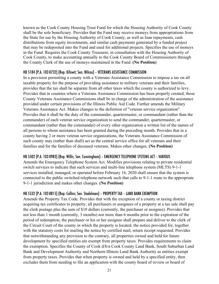known as the Cook County Housing Trust Fund for which the Housing Authority of Cook County shall be the sole beneficiary. Provides that the Fund may receive moneys from appropriations from the State for use by the Housing Authority of Cook County, as well as loan repayments, cash distributions from equity investments, and similar cash payments generated by a funded project that may be redeposited into the Fund and used for additional projects. Specifies the use of moneys in the Fund. Requires the Cook County Treasurer, in consultation with the Housing Authority of Cook County, to make accounting annually to the Cook County Board of Commissioners through the County Clerk of the use of moneys maintained in the Fund. **(No Position)**

## HB 5184 (P.A. 102-0732) (Rep. Kifowit; Sen. Wilcox) – VETERANS ASSISTANCE COMMISSION

In a provision permitting a county with a Veterans Assistance Commission to impose a tax on all taxable property for the purpose of providing assistance to military veterans and their families, provides that the tax shall be separate from all other taxes which the county is authorized to levy. Provides that in counties where a Veterans Assistance Commission has been properly created, those County Veterans Assistance Commissions shall be in charge of the administration of the assistance provided under certain provisions of the Illinois Public Aid Code. Further amends the Military Veterans Assistance Act. Makes changes to the definition of "veteran service organization". Provides that it shall be the duty of the commander, quartermaster, or commandant (rather than the commander) of each veteran service organization to send the commander, quartermaster, or commandant (rather than the commander) of every other organization a written list of the names of all persons to whom assistance has been granted during the preceding month. Provides that in a county having 2 or more veteran service organizations, the Veterans Assistance Commission of such county may (rather than shall) act as the central service office for all veterans and their families and for the families of deceased veterans. Makes other changes. **(No Position)**

#### HB 5502 (P.A. 102-0983) (Rep. Willis; Sen. Cunningham) – EMERGENCY TELEPHONE SYSTEMS ACT – VARIOUS

Amends the Emergency Telephone System Act. Modifies provisions relating to private residential switch services to indicate that such services and multi-line telephone system (MLTS) 9-1-1 services installed, managed, or operated before February 16, 2020 shall ensure that the system is connected to the public switched telephone network such that calls to 9-1-1 route to the appropriate 9-1-1 jurisdiction and makes other changes. **(No Position)**

## HB 5532 (P.A. 102-0815) (Rep. Collins; Sen. Stadelman) – PROPERTY TAX – LAND BANK EXEMPTION

Amends the Property Tax Code. Provides that with the exception of a county or taxing district acquiring tax certificates to property, all purchasers or assignees of a property at a tax sale shall pay the clerk postage plus the sum of \$10 dollars (currently, the purchaser or assignee). Provides that not less than 1 month (currently, 3 months) nor more than 6 months prior to the expiration of the period of redemption, the purchaser or his or her assignee shall prepare and deliver to the clerk of the Circuit Court of the county in which the property is located, the notice provided for, together with the statutory costs for mailing the notice by certified mail, return receipt requested. Provides that notwithstanding any provision to the contrary, all properties owned and held for future development by specified entities are exempt from property taxes. Provides requirements to claim the exemption. Specifies the County of Cook d/b/a Cook County Land Bank, South Suburban Land Bank and Development Authority and Northern Illinois Land Bank Authority as entities exempt from property taxes. Provides that when property is owned and held by a specified entity, then excludes them from needing to file an application with the county board of review or board of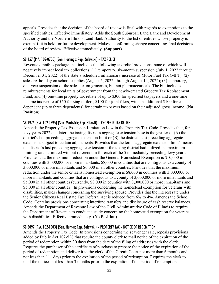appeals. Provides that the decision of the board of review is final with regards to exemptions to the specified entities. Effective immediately. Adds the South Suburban Land Bank and Development Authority and the Northern Illinois Land Bank Authority to the list of entities whose property is exempt if it is held for future development. Makes a conforming change concerning final decisions of the board of review. Effective immediately. **(Support)**

## SB 157 (P.A. 102-0700) (Sen. Hastings; Rep. Zalewski) – TAX RELIEF

Revenue omnibus package that includes the following tax relief provisions, none of which will negatively impact local tax collections: (1) temporary, six-month suspension (July 1, 2022 through December 31, 2022) of the state's scheduled inflationary increase of Motor Fuel Tax (MFT); (2) sales tax holiday on school supplies (August 5, 2022, through August 14, 2022); (3) temporary, one-year suspension of the sales tax on groceries, but not pharmaceuticals. The bill includes reimbursements for local units of government from the newly-created Grocery Tax Replacement Fund; and (4) one-time property tax rebate of up to \$300 for specified taxpayers and a one-time income tax rebate of \$50 for single filers, \$100 for joint filers, with an additional \$100 for each dependent (up to three dependents) for certain taxpayers based on their adjusted gross income. **(No Position)**

## SB 1975 (P.A. 102-0895) (Sen. Martwick; Rep. Kifowit) – PROPERTY TAX RELIEF

Amends the Property Tax Extension Limitation Law in the Property Tax Code. Provides that, for levy years 2022 and later, the taxing district's aggregate extension base is the greater of (A) the district's last preceding aggregate extension limit or (B) the district's last preceding aggregate extension, subject to certain adjustments. Provides that the term "aggregate extension limit" means the district's last preceding aggregate extension if the taxing district had utilized the maximum limiting rate permitted without referendum for each of the 5 immediately preceding levy years. Provides that the maximum reduction under the General Homestead Exemption is \$10,000 in counties with 3,000,000 or more inhabitants, \$8,000 in counties that are contiguous to a county of 3,000,000 or more inhabitants and \$6,000 in all other counties. Provides that the maximum reduction under the senior citizens homestead exemption is \$8,000 in counties with 3,000,000 or more inhabitants and counties that are contiguous to a county of 3,000,000 or more inhabitants and \$5,000 in all other counties (currently, \$8,000 in counties with 3,000,000 or more inhabitants and \$5,000 in all other counties). In provisions concerning the homestead exemption for veterans with disabilities, makes changes concerning the surviving spouse. Provides that the interest rate under the Senior Citizens Real Estate Tax Deferral Act is reduced from 6% to 4%. Amends the School Code. Contains provisions concerning interfund transfers and disclosure of cash reserve balances. Amends the Department of Revenue Law of the Civil Administrative Code of Illinois to require the Department of Revenue to conduct a study concerning the homestead exemption for veterans with disabilities. Effective immediately. **(No Position)**

## SB 3097 (P.A. 102-1003) (Sen. Hunter; Rep. Zalewski) – PROPERTY TAX – NOTICE OF REDEMPTION

Amends the Property Tax Code. In provisions concerning the scavenger sale, repeals provisions added by Public Act 102-528 that require the county clerk to mail notice of the expiration of the period of redemption within 30 days from the date of the filing of addresses with the clerk. Requires the purchaser of the certificate of purchase to prepare the notice of the expiration of the period of redemption and deliver it to the clerk of the Circuit Court not more than 6 months and not less than 111 days prior to the expiration of the period of redemption. Requires the clerk to mail the notices not less than 3 months prior to the expiration of the period of redemption.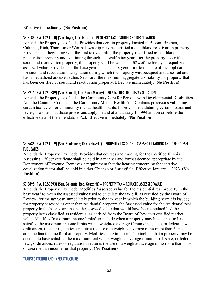#### Effective immediately. **(No Position)**

#### SB 3189 (P.A. 102-1010) (Sen. Joyce; Rep. DeLuca) – PROPERTY TAX – SOUTHLAND REACTIVATION

Amends the Property Tax Code. Provides that certain property located in Bloom, Bremen, Calumet, Rich, Thornton or Worth Township may be certified as southland reactivation property. Provides that, beginning with the first tax year after the property is certified as southland reactivation property and continuing through the twelfth tax year after the property is certified as southland reactivation property, the property shall be valued at 50% of the base year equalized assessed value. Provides that the base year is the last tax year prior to the date of the application for southland reactivation designation during which the property was occupied and assessed and had an equalized assessed value. Sets forth the maximum aggregate tax liability for property that has been certified as southland reactivation property. Effective immediately. **(No Position)**

## SB 3215 (P.A. 102-0839) (Sen. Bennett; Rep. Stava-Murray) – MENTAL HEALTH – LEVY VALIDATION

Amends the Property Tax Code, the Community Care for Persons with Developmental Disabilities Act, the Counties Code, and the Community Mental Health Act. Contains provisions validating certain tax levies for community mental health boards. In provisions validating certain boards and levies, provides that those provisions apply on and after January 1, 1994 and on or before the effective date of the amendatory Act. Effective immediately. **(No Position)**

## SB 3685 (P.A. 102-1019) (Sen. Stadelman; Rep. Zalewski) – PROPERTY TAX CODE – ASSESSOR TRAINING AND DYED DIESEL FUEL SALES

Amends the Property Tax Code. Provides that courses and training for the Certified Illinois Assessing Officer certificate shall be held in a manner and format deemed appropriate by the Department of Revenue. Removes a requirement that the hearing concerning the tentative equalization factor shall be held in either Chicago or Springfield. Effective January 1, 2023. **(No Position)**

## SB 3895 (P.A. 102-0893) (Sen. Gillespie; Rep. Guzzardi) – PROPERTY TAX – REDUCED ASSESSED VALUE

Amends the Property Tax Code. Modifies "assessed value for the residential real property in the base year" to mean the assessed value used to calculate the tax bill, as certified by the Board of Review, for the tax year immediately prior to the tax year in which the building permit is issued; for property assessed as other than residential property, the "assessed value for the residential real property in the base year" means the assessed value that would have been obtained had the property been classified as residential as derived from the Board of Review's certified market value. Modifies "maximum income limits" to include when a property may be deemed to have satisfied the maximum income limits with a weighted average if municipal, state, or federal laws, ordinances, rules or regulations requires the use of a weighted average of no more than 60% of area median income for that property. Modifies "maximum rent" to include that a property may be deemed to have satisfied the maximum rent with a weighted average if municipal, state, or federal laws, ordinances, rules or regulations requires the use of a weighted average of no more than 60% of area median income for that property. **(No Position)**

#### TRANSPORTATION AND INFRASTRUCTURE